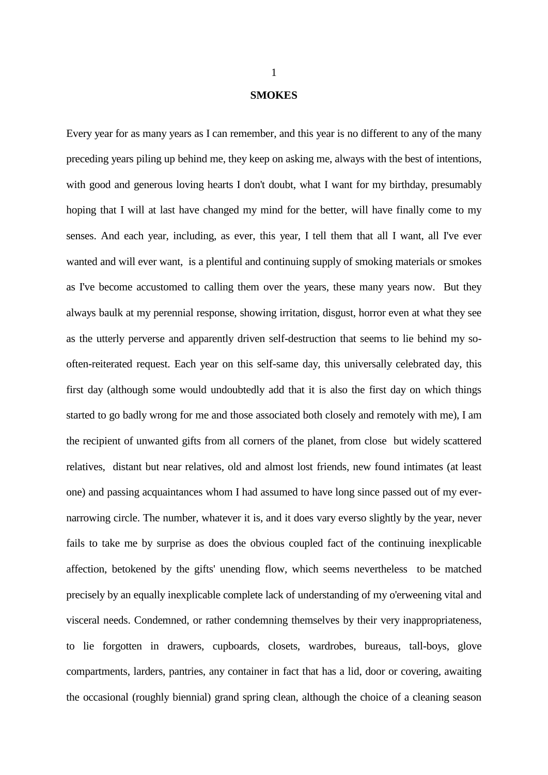## **SMOKES**

Every year for as many years as I can remember, and this year is no different to any of the many preceding years piling up behind me, they keep on asking me, always with the best of intentions, with good and generous loving hearts I don't doubt, what I want for my birthday, presumably hoping that I will at last have changed my mind for the better, will have finally come to my senses. And each year, including, as ever, this year, I tell them that all I want, all I've ever wanted and will ever want, is a plentiful and continuing supply of smoking materials or smokes as I've become accustomed to calling them over the years, these many years now. But they always baulk at my perennial response, showing irritation, disgust, horror even at what they see as the utterly perverse and apparently driven self-destruction that seems to lie behind my sooften-reiterated request. Each year on this self-same day, this universally celebrated day, this first day (although some would undoubtedly add that it is also the first day on which things started to go badly wrong for me and those associated both closely and remotely with me), I am the recipient of unwanted gifts from all corners of the planet, from close but widely scattered relatives, distant but near relatives, old and almost lost friends, new found intimates (at least one) and passing acquaintances whom I had assumed to have long since passed out of my evernarrowing circle. The number, whatever it is, and it does vary everso slightly by the year, never fails to take me by surprise as does the obvious coupled fact of the continuing inexplicable affection, betokened by the gifts' unending flow, which seems nevertheless to be matched precisely by an equally inexplicable complete lack of understanding of my o'erweening vital and visceral needs. Condemned, or rather condemning themselves by their very inappropriateness, to lie forgotten in drawers, cupboards, closets, wardrobes, bureaus, tall-boys, glove compartments, larders, pantries, any container in fact that has a lid, door or covering, awaiting the occasional (roughly biennial) grand spring clean, although the choice of a cleaning season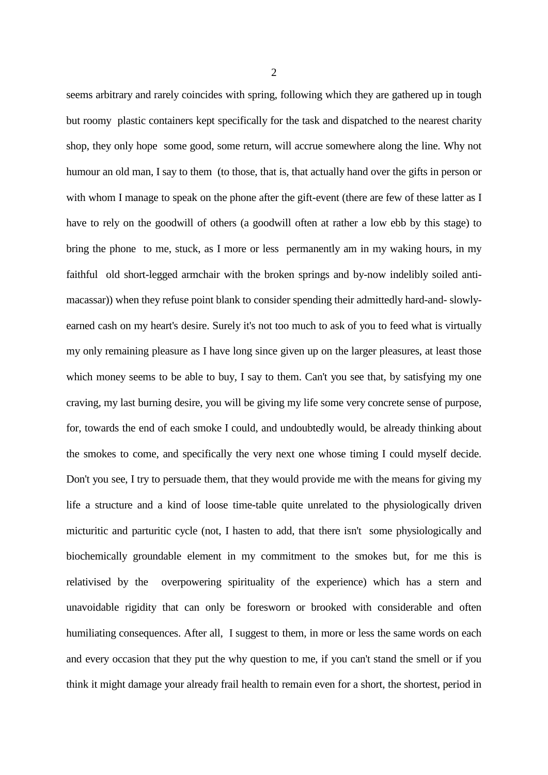seems arbitrary and rarely coincides with spring, following which they are gathered up in tough but roomy plastic containers kept specifically for the task and dispatched to the nearest charity shop, they only hope some good, some return, will accrue somewhere along the line. Why not humour an old man, I say to them (to those, that is, that actually hand over the gifts in person or with whom I manage to speak on the phone after the gift-event (there are few of these latter as I have to rely on the goodwill of others (a goodwill often at rather a low ebb by this stage) to bring the phone to me, stuck, as I more or less permanently am in my waking hours, in my faithful old short-legged armchair with the broken springs and by-now indelibly soiled antimacassar)) when they refuse point blank to consider spending their admittedly hard-and- slowlyearned cash on my heart's desire. Surely it's not too much to ask of you to feed what is virtually my only remaining pleasure as I have long since given up on the larger pleasures, at least those which money seems to be able to buy, I say to them. Can't you see that, by satisfying my one craving, my last burning desire, you will be giving my life some very concrete sense of purpose, for, towards the end of each smoke I could, and undoubtedly would, be already thinking about the smokes to come, and specifically the very next one whose timing I could myself decide. Don't you see, I try to persuade them, that they would provide me with the means for giving my life a structure and a kind of loose time-table quite unrelated to the physiologically driven micturitic and parturitic cycle (not, I hasten to add, that there isn't some physiologically and biochemically groundable element in my commitment to the smokes but, for me this is relativised by the overpowering spirituality of the experience) which has a stern and unavoidable rigidity that can only be foresworn or brooked with considerable and often humiliating consequences. After all, I suggest to them, in more or less the same words on each and every occasion that they put the why question to me, if you can't stand the smell or if you think it might damage your already frail health to remain even for a short, the shortest, period in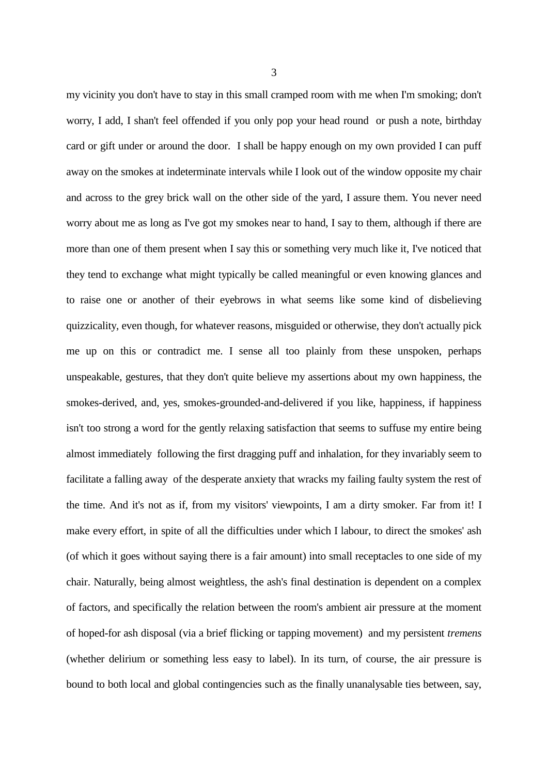my vicinity you don't have to stay in this small cramped room with me when I'm smoking; don't worry, I add, I shan't feel offended if you only pop your head round or push a note, birthday card or gift under or around the door. I shall be happy enough on my own provided I can puff away on the smokes at indeterminate intervals while I look out of the window opposite my chair and across to the grey brick wall on the other side of the yard, I assure them. You never need worry about me as long as I've got my smokes near to hand, I say to them, although if there are more than one of them present when I say this or something very much like it, I've noticed that they tend to exchange what might typically be called meaningful or even knowing glances and to raise one or another of their eyebrows in what seems like some kind of disbelieving quizzicality, even though, for whatever reasons, misguided or otherwise, they don't actually pick me up on this or contradict me. I sense all too plainly from these unspoken, perhaps unspeakable, gestures, that they don't quite believe my assertions about my own happiness, the smokes-derived, and, yes, smokes-grounded-and-delivered if you like, happiness, if happiness isn't too strong a word for the gently relaxing satisfaction that seems to suffuse my entire being almost immediately following the first dragging puff and inhalation, for they invariably seem to facilitate a falling away of the desperate anxiety that wracks my failing faulty system the rest of the time. And it's not as if, from my visitors' viewpoints, I am a dirty smoker. Far from it! I make every effort, in spite of all the difficulties under which I labour, to direct the smokes' ash (of which it goes without saying there is a fair amount) into small receptacles to one side of my chair. Naturally, being almost weightless, the ash's final destination is dependent on a complex of factors, and specifically the relation between the room's ambient air pressure at the moment of hoped-for ash disposal (via a brief flicking or tapping movement) and my persistent *tremens* (whether delirium or something less easy to label). In its turn, of course, the air pressure is bound to both local and global contingencies such as the finally unanalysable ties between, say,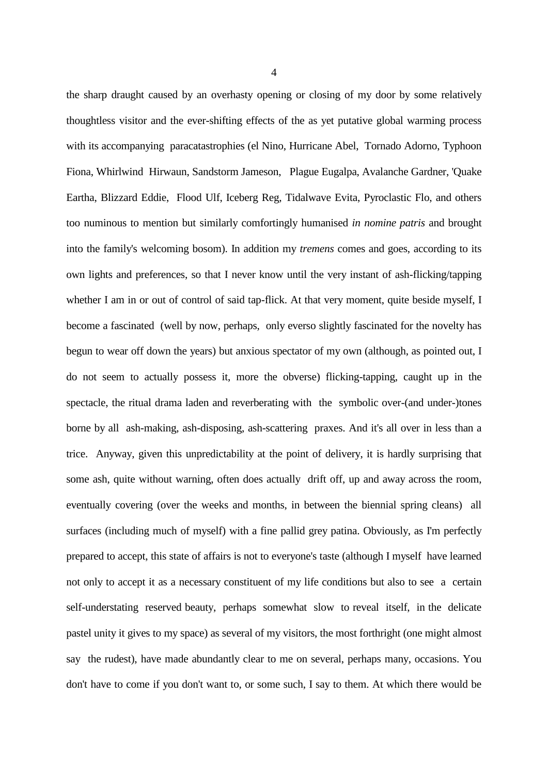the sharp draught caused by an overhasty opening or closing of my door by some relatively thoughtless visitor and the ever-shifting effects of the as yet putative global warming process with its accompanying paracatastrophies (el Nino, Hurricane Abel, Tornado Adorno, Typhoon Fiona, Whirlwind Hirwaun, Sandstorm Jameson, Plague Eugalpa, Avalanche Gardner, 'Quake Eartha, Blizzard Eddie, Flood Ulf, Iceberg Reg, Tidalwave Evita, Pyroclastic Flo, and others too numinous to mention but similarly comfortingly humanised *in nomine patris* and brought into the family's welcoming bosom). In addition my *tremens* comes and goes, according to its own lights and preferences, so that I never know until the very instant of ash-flicking/tapping whether I am in or out of control of said tap-flick. At that very moment, quite beside myself, I become a fascinated (well by now, perhaps, only everso slightly fascinated for the novelty has begun to wear off down the years) but anxious spectator of my own (although, as pointed out, I do not seem to actually possess it, more the obverse) flicking-tapping, caught up in the spectacle, the ritual drama laden and reverberating with the symbolic over-(and under-)tones borne by all ash-making, ash-disposing, ash-scattering praxes. And it's all over in less than a trice. Anyway, given this unpredictability at the point of delivery, it is hardly surprising that some ash, quite without warning, often does actually drift off, up and away across the room, eventually covering (over the weeks and months, in between the biennial spring cleans) all surfaces (including much of myself) with a fine pallid grey patina. Obviously, as I'm perfectly prepared to accept, this state of affairs is not to everyone's taste (although I myself have learned not only to accept it as a necessary constituent of my life conditions but also to see a certain self-understating reserved beauty, perhaps somewhat slow to reveal itself, in the delicate pastel unity it gives to my space) as several of my visitors, the most forthright (one might almost say the rudest), have made abundantly clear to me on several, perhaps many, occasions. You don't have to come if you don't want to, or some such, I say to them. At which there would be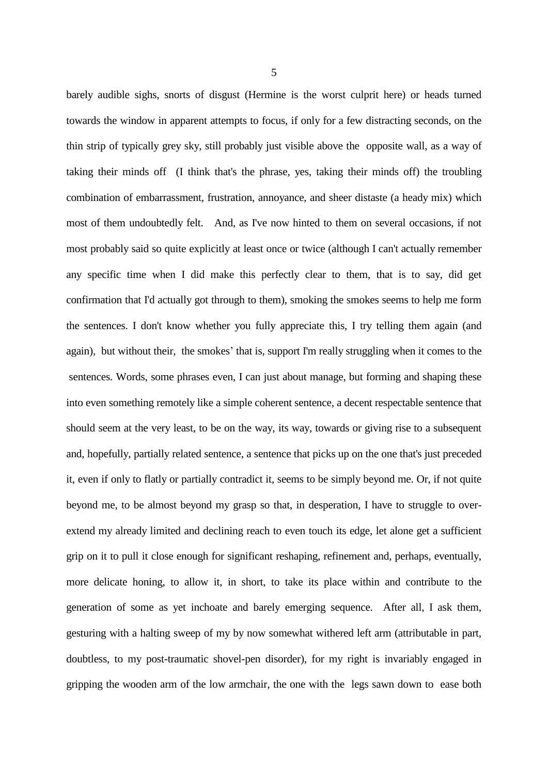barely audible sighs, snorts of disgust (Hermine is the worst culprit here) or heads turned towards the window in apparent attempts to focus, if only for a few distracting seconds, on the thin strip of typically grey sky, still probably just visible above the opposite wall, as a way of taking their minds off (I think that's the phrase, yes, taking their minds off) the troubling combination of embarrassment, frustration, annoyance, and sheer distaste (a heady mix) which most of them undoubtedly felt. And, as I've now hinted to them on several occasions, if not most probably said so quite explicitly at least once or twice (although I can't actually remember any specific time when I did make this perfectly clear to them, that is to say, did get confirmation that I'd actually got through to them), smoking the smokes seems to help me form the sentences. I don't know whether you fully appreciate this, I try telling them again (and again), but without their, the smokes' that is, support I'm really struggling when it comes to the sentences. Words, some phrases even, I can just about manage, but forming and shaping these into even something remotely like a simple coherent sentence, a decent respectable sentence that should seem at the very least, to be on the way, its way, towards or giving rise to a subsequent and, hopefully, partially related sentence, a sentence that picks up on the one that's just preceded it, even if only to flatly or partially contradict it, seems to be simply beyond me. Or, if not quite beyond me, to be almost beyond my grasp so that, in desperation, I have to struggle to overextend my already limited and declining reach to even touch its edge, let alone get a sufficient grip on it to pull it close enough for significant reshaping, refinement and, perhaps, eventually, more delicate honing, to allow it, in short, to take its place within and contribute to the generation of some as yet inchoate and barely emerging sequence. After all, I ask them, gesturing with a halting sweep of my by now somewhat withered left arm (attributable in part, doubtless, to my post-traumatic shovel-pen disorder), for my right is invariably engaged in gripping the wooden arm of the low armchair, the one with the legs sawn down to ease both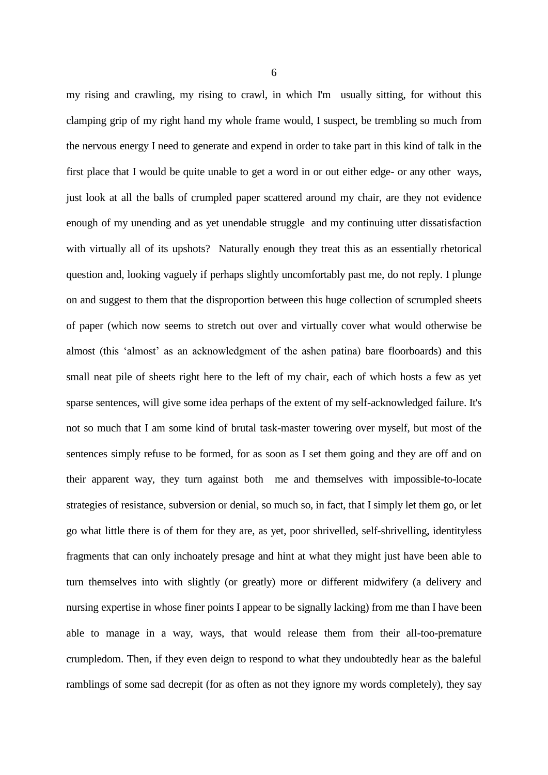my rising and crawling, my rising to crawl, in which I'm usually sitting, for without this clamping grip of my right hand my whole frame would, I suspect, be trembling so much from the nervous energy I need to generate and expend in order to take part in this kind of talk in the first place that I would be quite unable to get a word in or out either edge- or any other ways, just look at all the balls of crumpled paper scattered around my chair, are they not evidence enough of my unending and as yet unendable struggle and my continuing utter dissatisfaction with virtually all of its upshots? Naturally enough they treat this as an essentially rhetorical question and, looking vaguely if perhaps slightly uncomfortably past me, do not reply. I plunge on and suggest to them that the disproportion between this huge collection of scrumpled sheets of paper (which now seems to stretch out over and virtually cover what would otherwise be almost (this 'almost' as an acknowledgment of the ashen patina) bare floorboards) and this small neat pile of sheets right here to the left of my chair, each of which hosts a few as yet sparse sentences, will give some idea perhaps of the extent of my self-acknowledged failure. It's not so much that I am some kind of brutal task-master towering over myself, but most of the sentences simply refuse to be formed, for as soon as I set them going and they are off and on their apparent way, they turn against both me and themselves with impossible-to-locate strategies of resistance, subversion or denial, so much so, in fact, that I simply let them go, or let go what little there is of them for they are, as yet, poor shrivelled, self-shrivelling, identityless fragments that can only inchoately presage and hint at what they might just have been able to turn themselves into with slightly (or greatly) more or different midwifery (a delivery and nursing expertise in whose finer points I appear to be signally lacking) from me than I have been able to manage in a way, ways, that would release them from their all-too-premature crumpledom. Then, if they even deign to respond to what they undoubtedly hear as the baleful ramblings of some sad decrepit (for as often as not they ignore my words completely), they say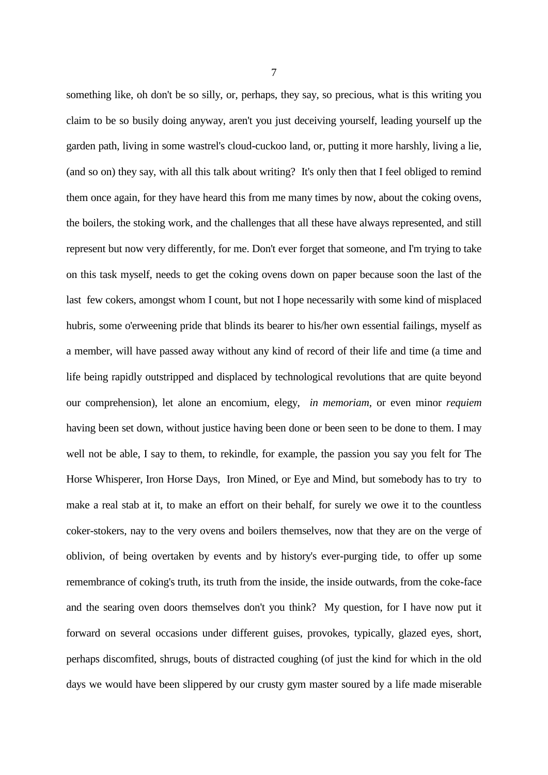something like, oh don't be so silly, or, perhaps, they say, so precious, what is this writing you claim to be so busily doing anyway, aren't you just deceiving yourself, leading yourself up the garden path, living in some wastrel's cloud-cuckoo land, or, putting it more harshly, living a lie, (and so on) they say, with all this talk about writing? It's only then that I feel obliged to remind them once again, for they have heard this from me many times by now, about the coking ovens, the boilers, the stoking work, and the challenges that all these have always represented, and still represent but now very differently, for me. Don't ever forget that someone, and I'm trying to take on this task myself, needs to get the coking ovens down on paper because soon the last of the last few cokers, amongst whom I count, but not I hope necessarily with some kind of misplaced hubris, some o'erweening pride that blinds its bearer to his/her own essential failings, myself as a member, will have passed away without any kind of record of their life and time (a time and life being rapidly outstripped and displaced by technological revolutions that are quite beyond our comprehension), let alone an encomium, elegy, *in memoriam,* or even minor *requiem* having been set down, without justice having been done or been seen to be done to them. I may well not be able, I say to them, to rekindle, for example, the passion you say you felt for The Horse Whisperer, Iron Horse Days, Iron Mined, or Eye and Mind, but somebody has to try to make a real stab at it, to make an effort on their behalf, for surely we owe it to the countless coker-stokers, nay to the very ovens and boilers themselves, now that they are on the verge of oblivion, of being overtaken by events and by history's ever-purging tide, to offer up some remembrance of coking's truth, its truth from the inside, the inside outwards, from the coke-face and the searing oven doors themselves don't you think? My question, for I have now put it forward on several occasions under different guises, provokes, typically, glazed eyes, short, perhaps discomfited, shrugs, bouts of distracted coughing (of just the kind for which in the old days we would have been slippered by our crusty gym master soured by a life made miserable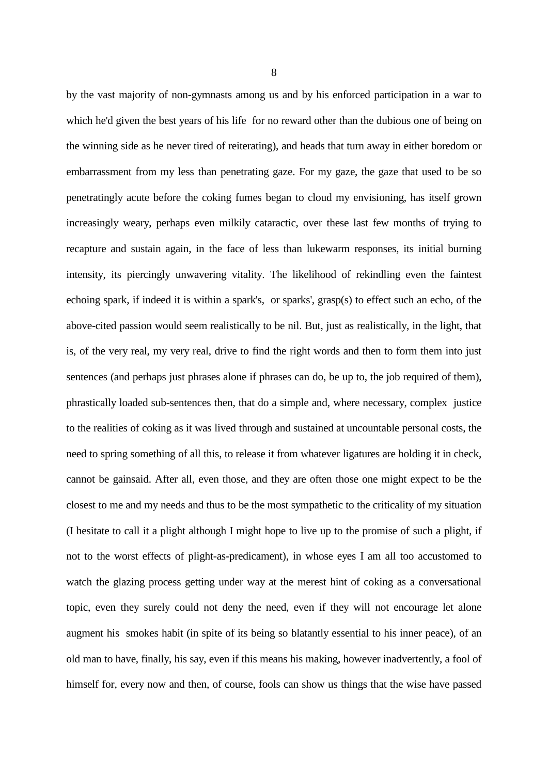by the vast majority of non-gymnasts among us and by his enforced participation in a war to which he'd given the best years of his life for no reward other than the dubious one of being on the winning side as he never tired of reiterating), and heads that turn away in either boredom or embarrassment from my less than penetrating gaze. For my gaze, the gaze that used to be so penetratingly acute before the coking fumes began to cloud my envisioning, has itself grown increasingly weary, perhaps even milkily cataractic, over these last few months of trying to recapture and sustain again, in the face of less than lukewarm responses, its initial burning intensity, its piercingly unwavering vitality. The likelihood of rekindling even the faintest echoing spark, if indeed it is within a spark's, or sparks', grasp(s) to effect such an echo, of the above-cited passion would seem realistically to be nil. But, just as realistically, in the light, that is, of the very real, my very real, drive to find the right words and then to form them into just sentences (and perhaps just phrases alone if phrases can do, be up to, the job required of them), phrastically loaded sub-sentences then, that do a simple and, where necessary, complex justice to the realities of coking as it was lived through and sustained at uncountable personal costs, the need to spring something of all this, to release it from whatever ligatures are holding it in check, cannot be gainsaid. After all, even those, and they are often those one might expect to be the closest to me and my needs and thus to be the most sympathetic to the criticality of my situation (I hesitate to call it a plight although I might hope to live up to the promise of such a plight, if not to the worst effects of plight-as-predicament), in whose eyes I am all too accustomed to watch the glazing process getting under way at the merest hint of coking as a conversational topic, even they surely could not deny the need, even if they will not encourage let alone augment his smokes habit (in spite of its being so blatantly essential to his inner peace), of an old man to have, finally, his say, even if this means his making, however inadvertently, a fool of himself for, every now and then, of course, fools can show us things that the wise have passed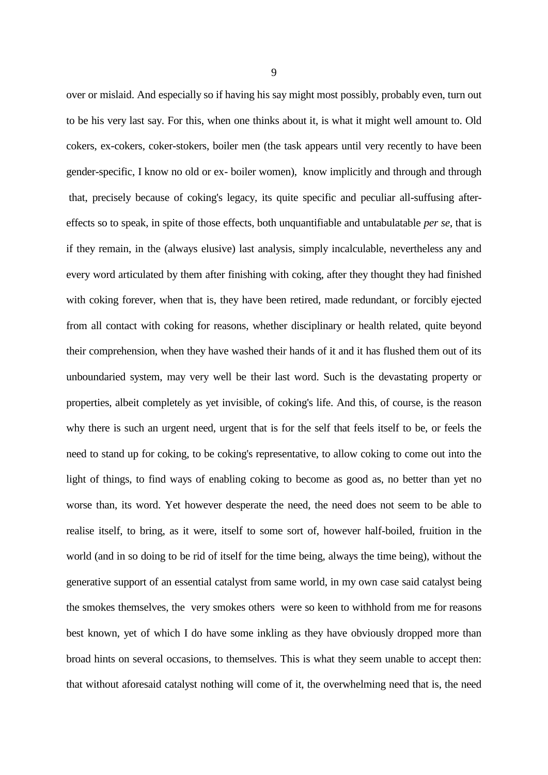over or mislaid. And especially so if having his say might most possibly, probably even, turn out to be his very last say. For this, when one thinks about it, is what it might well amount to. Old cokers, ex-cokers, coker-stokers, boiler men (the task appears until very recently to have been gender-specific, I know no old or ex- boiler women), know implicitly and through and through that, precisely because of coking's legacy, its quite specific and peculiar all-suffusing aftereffects so to speak, in spite of those effects, both unquantifiable and untabulatable *per se*, that is if they remain, in the (always elusive) last analysis, simply incalculable, nevertheless any and every word articulated by them after finishing with coking, after they thought they had finished with coking forever, when that is, they have been retired, made redundant, or forcibly ejected from all contact with coking for reasons, whether disciplinary or health related, quite beyond their comprehension, when they have washed their hands of it and it has flushed them out of its unboundaried system, may very well be their last word. Such is the devastating property or properties, albeit completely as yet invisible, of coking's life. And this, of course, is the reason why there is such an urgent need, urgent that is for the self that feels itself to be, or feels the need to stand up for coking, to be coking's representative, to allow coking to come out into the light of things, to find ways of enabling coking to become as good as, no better than yet no worse than, its word. Yet however desperate the need, the need does not seem to be able to realise itself, to bring, as it were, itself to some sort of, however half-boiled, fruition in the world (and in so doing to be rid of itself for the time being, always the time being), without the generative support of an essential catalyst from same world, in my own case said catalyst being the smokes themselves, the very smokes others were so keen to withhold from me for reasons best known, yet of which I do have some inkling as they have obviously dropped more than broad hints on several occasions, to themselves. This is what they seem unable to accept then: that without aforesaid catalyst nothing will come of it, the overwhelming need that is, the need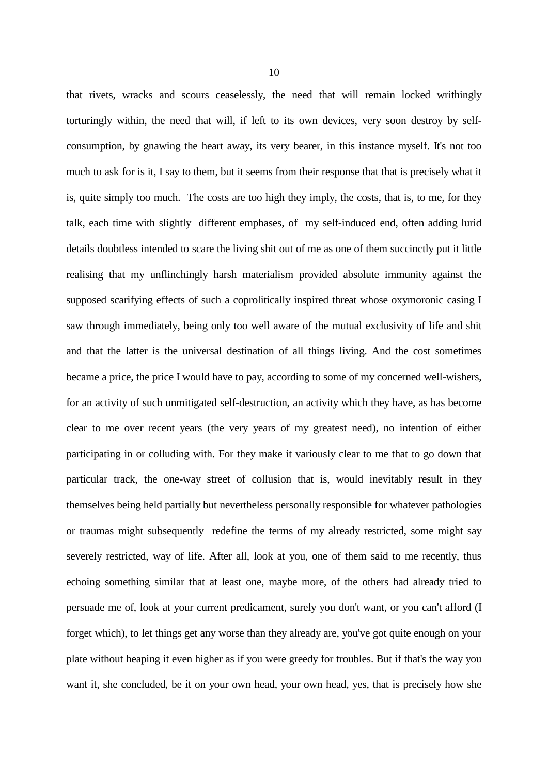that rivets, wracks and scours ceaselessly, the need that will remain locked writhingly torturingly within, the need that will, if left to its own devices, very soon destroy by selfconsumption, by gnawing the heart away, its very bearer, in this instance myself. It's not too much to ask for is it, I say to them, but it seems from their response that that is precisely what it is, quite simply too much. The costs are too high they imply, the costs, that is, to me, for they talk, each time with slightly different emphases, of my self-induced end, often adding lurid details doubtless intended to scare the living shit out of me as one of them succinctly put it little realising that my unflinchingly harsh materialism provided absolute immunity against the supposed scarifying effects of such a coprolitically inspired threat whose oxymoronic casing I saw through immediately, being only too well aware of the mutual exclusivity of life and shit and that the latter is the universal destination of all things living. And the cost sometimes became a price, the price I would have to pay, according to some of my concerned well-wishers, for an activity of such unmitigated self-destruction, an activity which they have, as has become clear to me over recent years (the very years of my greatest need), no intention of either participating in or colluding with. For they make it variously clear to me that to go down that particular track, the one-way street of collusion that is, would inevitably result in they themselves being held partially but nevertheless personally responsible for whatever pathologies or traumas might subsequently redefine the terms of my already restricted, some might say severely restricted, way of life. After all, look at you, one of them said to me recently, thus echoing something similar that at least one, maybe more, of the others had already tried to persuade me of, look at your current predicament, surely you don't want, or you can't afford (I forget which), to let things get any worse than they already are, you've got quite enough on your plate without heaping it even higher as if you were greedy for troubles. But if that's the way you want it, she concluded, be it on your own head, your own head, yes, that is precisely how she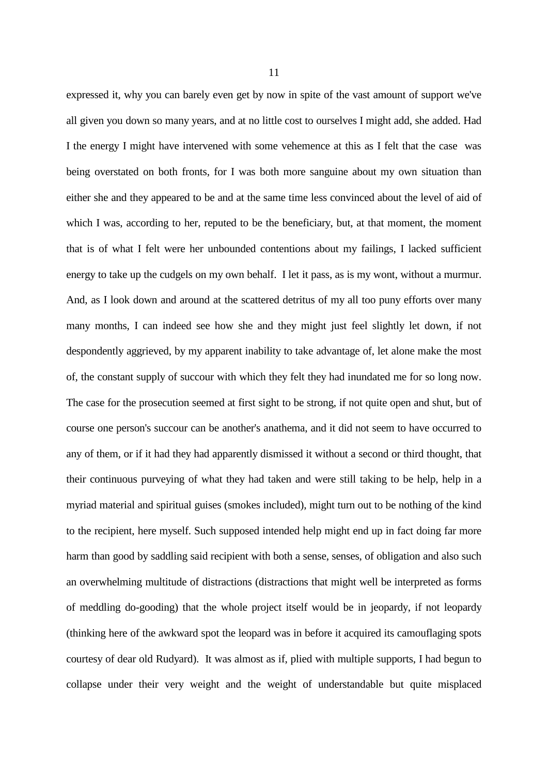expressed it, why you can barely even get by now in spite of the vast amount of support we've all given you down so many years, and at no little cost to ourselves I might add, she added. Had I the energy I might have intervened with some vehemence at this as I felt that the case was being overstated on both fronts, for I was both more sanguine about my own situation than either she and they appeared to be and at the same time less convinced about the level of aid of which I was, according to her, reputed to be the beneficiary, but, at that moment, the moment that is of what I felt were her unbounded contentions about my failings, I lacked sufficient energy to take up the cudgels on my own behalf. I let it pass, as is my wont, without a murmur. And, as I look down and around at the scattered detritus of my all too puny efforts over many many months, I can indeed see how she and they might just feel slightly let down, if not despondently aggrieved, by my apparent inability to take advantage of, let alone make the most of, the constant supply of succour with which they felt they had inundated me for so long now. The case for the prosecution seemed at first sight to be strong, if not quite open and shut, but of course one person's succour can be another's anathema, and it did not seem to have occurred to any of them, or if it had they had apparently dismissed it without a second or third thought, that their continuous purveying of what they had taken and were still taking to be help, help in a myriad material and spiritual guises (smokes included), might turn out to be nothing of the kind to the recipient, here myself. Such supposed intended help might end up in fact doing far more harm than good by saddling said recipient with both a sense, senses, of obligation and also such an overwhelming multitude of distractions (distractions that might well be interpreted as forms of meddling do-gooding) that the whole project itself would be in jeopardy, if not leopardy (thinking here of the awkward spot the leopard was in before it acquired its camouflaging spots courtesy of dear old Rudyard). It was almost as if, plied with multiple supports, I had begun to collapse under their very weight and the weight of understandable but quite misplaced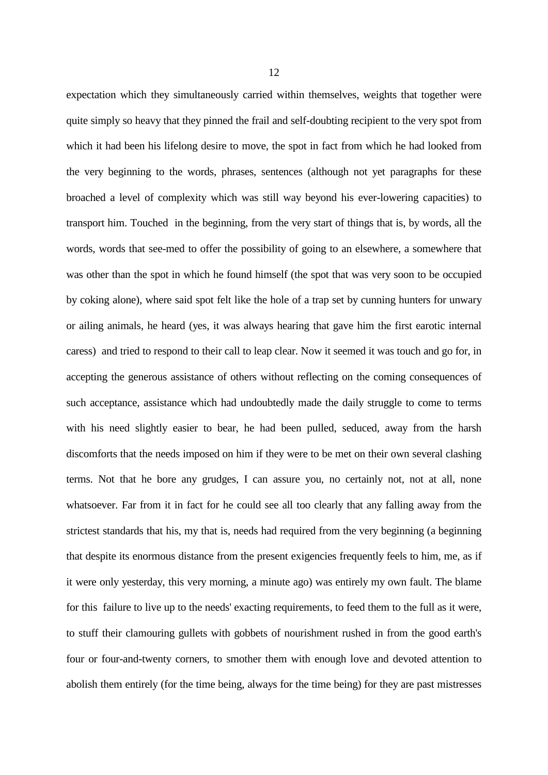expectation which they simultaneously carried within themselves, weights that together were quite simply so heavy that they pinned the frail and self-doubting recipient to the very spot from which it had been his lifelong desire to move, the spot in fact from which he had looked from the very beginning to the words, phrases, sentences (although not yet paragraphs for these broached a level of complexity which was still way beyond his ever-lowering capacities) to transport him. Touched in the beginning, from the very start of things that is, by words, all the words, words that see-med to offer the possibility of going to an elsewhere, a somewhere that was other than the spot in which he found himself (the spot that was very soon to be occupied by coking alone), where said spot felt like the hole of a trap set by cunning hunters for unwary or ailing animals, he heard (yes, it was always hearing that gave him the first earotic internal caress) and tried to respond to their call to leap clear. Now it seemed it was touch and go for, in accepting the generous assistance of others without reflecting on the coming consequences of such acceptance, assistance which had undoubtedly made the daily struggle to come to terms with his need slightly easier to bear, he had been pulled, seduced, away from the harsh discomforts that the needs imposed on him if they were to be met on their own several clashing terms. Not that he bore any grudges, I can assure you, no certainly not, not at all, none whatsoever. Far from it in fact for he could see all too clearly that any falling away from the strictest standards that his, my that is, needs had required from the very beginning (a beginning that despite its enormous distance from the present exigencies frequently feels to him, me, as if it were only yesterday, this very morning, a minute ago) was entirely my own fault. The blame for this failure to live up to the needs' exacting requirements, to feed them to the full as it were, to stuff their clamouring gullets with gobbets of nourishment rushed in from the good earth's four or four-and-twenty corners, to smother them with enough love and devoted attention to abolish them entirely (for the time being, always for the time being) for they are past mistresses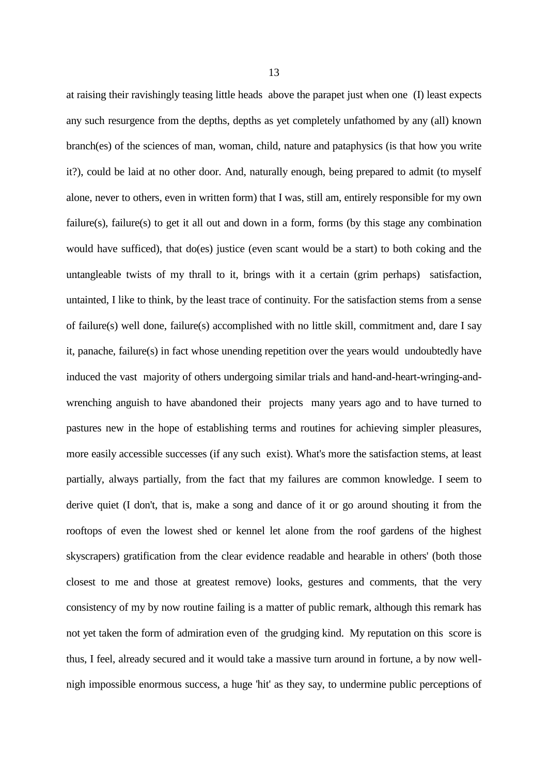at raising their ravishingly teasing little heads above the parapet just when one (I) least expects any such resurgence from the depths, depths as yet completely unfathomed by any (all) known branch(es) of the sciences of man, woman, child, nature and pataphysics (is that how you write it?), could be laid at no other door. And, naturally enough, being prepared to admit (to myself alone, never to others, even in written form) that I was, still am, entirely responsible for my own failure(s), failure(s) to get it all out and down in a form, forms (by this stage any combination would have sufficed), that do(es) justice (even scant would be a start) to both coking and the untangleable twists of my thrall to it, brings with it a certain (grim perhaps) satisfaction, untainted, I like to think, by the least trace of continuity. For the satisfaction stems from a sense of failure(s) well done, failure(s) accomplished with no little skill, commitment and, dare I say it, panache, failure(s) in fact whose unending repetition over the years would undoubtedly have induced the vast majority of others undergoing similar trials and hand-and-heart-wringing-andwrenching anguish to have abandoned their projects many years ago and to have turned to pastures new in the hope of establishing terms and routines for achieving simpler pleasures, more easily accessible successes (if any such exist). What's more the satisfaction stems, at least partially, always partially, from the fact that my failures are common knowledge. I seem to derive quiet (I don't, that is, make a song and dance of it or go around shouting it from the rooftops of even the lowest shed or kennel let alone from the roof gardens of the highest skyscrapers) gratification from the clear evidence readable and hearable in others' (both those closest to me and those at greatest remove) looks, gestures and comments, that the very consistency of my by now routine failing is a matter of public remark, although this remark has not yet taken the form of admiration even of the grudging kind. My reputation on this score is thus, I feel, already secured and it would take a massive turn around in fortune, a by now wellnigh impossible enormous success, a huge 'hit' as they say, to undermine public perceptions of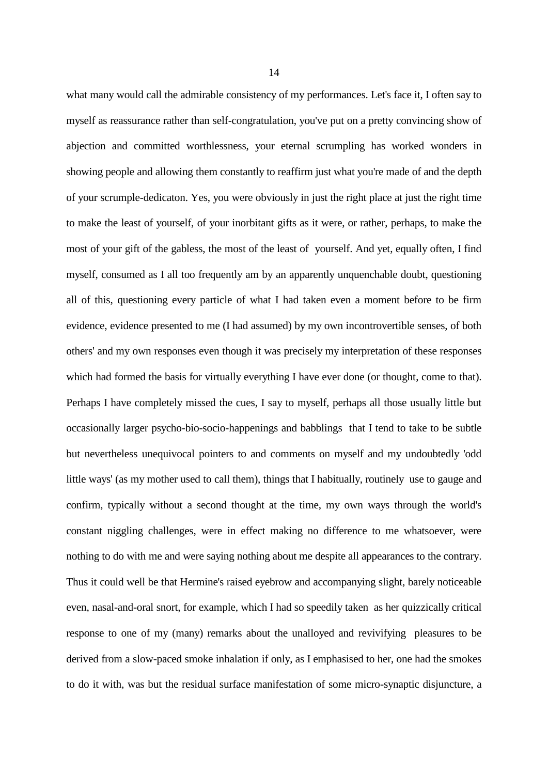what many would call the admirable consistency of my performances. Let's face it, I often say to myself as reassurance rather than self-congratulation, you've put on a pretty convincing show of abjection and committed worthlessness, your eternal scrumpling has worked wonders in showing people and allowing them constantly to reaffirm just what you're made of and the depth of your scrumple-dedicaton. Yes, you were obviously in just the right place at just the right time to make the least of yourself, of your inorbitant gifts as it were, or rather, perhaps, to make the most of your gift of the gabless, the most of the least of yourself. And yet, equally often, I find myself, consumed as I all too frequently am by an apparently unquenchable doubt, questioning all of this, questioning every particle of what I had taken even a moment before to be firm evidence, evidence presented to me (I had assumed) by my own incontrovertible senses, of both others' and my own responses even though it was precisely my interpretation of these responses which had formed the basis for virtually everything I have ever done (or thought, come to that). Perhaps I have completely missed the cues, I say to myself, perhaps all those usually little but occasionally larger psycho-bio-socio-happenings and babblings that I tend to take to be subtle but nevertheless unequivocal pointers to and comments on myself and my undoubtedly 'odd little ways' (as my mother used to call them), things that I habitually, routinely use to gauge and confirm, typically without a second thought at the time, my own ways through the world's constant niggling challenges, were in effect making no difference to me whatsoever, were nothing to do with me and were saying nothing about me despite all appearances to the contrary. Thus it could well be that Hermine's raised eyebrow and accompanying slight, barely noticeable even, nasal-and-oral snort, for example, which I had so speedily taken as her quizzically critical response to one of my (many) remarks about the unalloyed and revivifying pleasures to be derived from a slow-paced smoke inhalation if only, as I emphasised to her, one had the smokes to do it with, was but the residual surface manifestation of some micro-synaptic disjuncture, a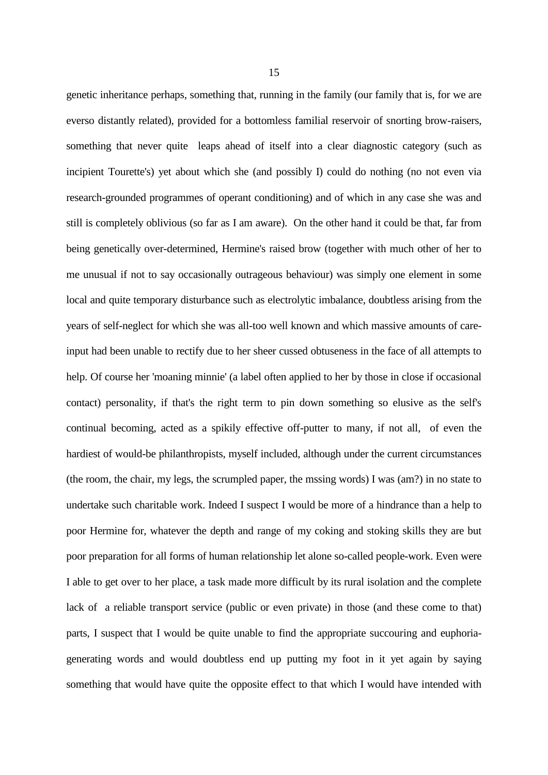genetic inheritance perhaps, something that, running in the family (our family that is, for we are everso distantly related), provided for a bottomless familial reservoir of snorting brow-raisers, something that never quite leaps ahead of itself into a clear diagnostic category (such as incipient Tourette's) yet about which she (and possibly I) could do nothing (no not even via research-grounded programmes of operant conditioning) and of which in any case she was and still is completely oblivious (so far as I am aware). On the other hand it could be that, far from being genetically over-determined, Hermine's raised brow (together with much other of her to me unusual if not to say occasionally outrageous behaviour) was simply one element in some local and quite temporary disturbance such as electrolytic imbalance, doubtless arising from the years of self-neglect for which she was all-too well known and which massive amounts of careinput had been unable to rectify due to her sheer cussed obtuseness in the face of all attempts to help. Of course her 'moaning minnie' (a label often applied to her by those in close if occasional contact) personality, if that's the right term to pin down something so elusive as the self's continual becoming, acted as a spikily effective off-putter to many, if not all, of even the hardiest of would-be philanthropists, myself included, although under the current circumstances (the room, the chair, my legs, the scrumpled paper, the mssing words) I was (am?) in no state to undertake such charitable work. Indeed I suspect I would be more of a hindrance than a help to poor Hermine for, whatever the depth and range of my coking and stoking skills they are but poor preparation for all forms of human relationship let alone so-called people-work. Even were I able to get over to her place, a task made more difficult by its rural isolation and the complete lack of a reliable transport service (public or even private) in those (and these come to that) parts, I suspect that I would be quite unable to find the appropriate succouring and euphoriagenerating words and would doubtless end up putting my foot in it yet again by saying something that would have quite the opposite effect to that which I would have intended with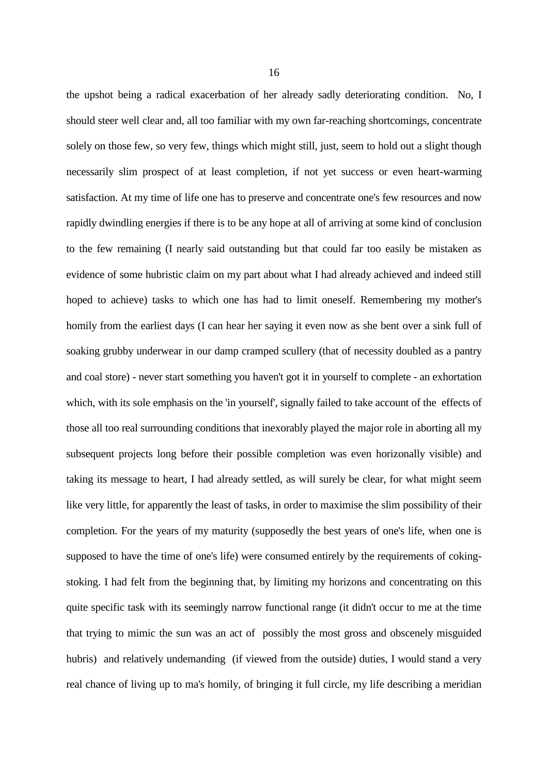the upshot being a radical exacerbation of her already sadly deteriorating condition. No, I should steer well clear and, all too familiar with my own far-reaching shortcomings, concentrate solely on those few, so very few, things which might still, just, seem to hold out a slight though necessarily slim prospect of at least completion, if not yet success or even heart-warming satisfaction. At my time of life one has to preserve and concentrate one's few resources and now rapidly dwindling energies if there is to be any hope at all of arriving at some kind of conclusion to the few remaining (I nearly said outstanding but that could far too easily be mistaken as evidence of some hubristic claim on my part about what I had already achieved and indeed still hoped to achieve) tasks to which one has had to limit oneself. Remembering my mother's homily from the earliest days (I can hear her saying it even now as she bent over a sink full of soaking grubby underwear in our damp cramped scullery (that of necessity doubled as a pantry and coal store) - never start something you haven't got it in yourself to complete - an exhortation which, with its sole emphasis on the 'in yourself', signally failed to take account of the effects of those all too real surrounding conditions that inexorably played the major role in aborting all my subsequent projects long before their possible completion was even horizonally visible) and taking its message to heart, I had already settled, as will surely be clear, for what might seem like very little, for apparently the least of tasks, in order to maximise the slim possibility of their completion. For the years of my maturity (supposedly the best years of one's life, when one is supposed to have the time of one's life) were consumed entirely by the requirements of cokingstoking. I had felt from the beginning that, by limiting my horizons and concentrating on this quite specific task with its seemingly narrow functional range (it didn't occur to me at the time that trying to mimic the sun was an act of possibly the most gross and obscenely misguided hubris) and relatively undemanding (if viewed from the outside) duties, I would stand a very real chance of living up to ma's homily, of bringing it full circle, my life describing a meridian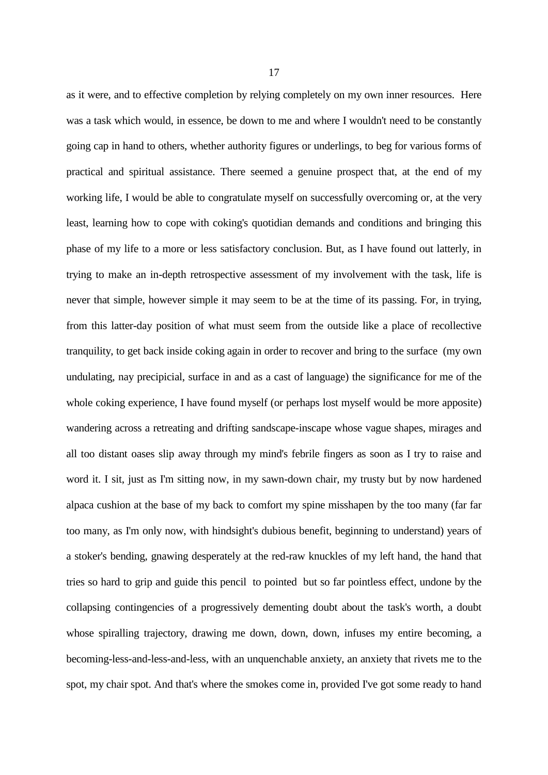as it were, and to effective completion by relying completely on my own inner resources. Here was a task which would, in essence, be down to me and where I wouldn't need to be constantly going cap in hand to others, whether authority figures or underlings, to beg for various forms of practical and spiritual assistance. There seemed a genuine prospect that, at the end of my working life, I would be able to congratulate myself on successfully overcoming or, at the very least, learning how to cope with coking's quotidian demands and conditions and bringing this phase of my life to a more or less satisfactory conclusion. But, as I have found out latterly, in trying to make an in-depth retrospective assessment of my involvement with the task, life is never that simple, however simple it may seem to be at the time of its passing. For, in trying, from this latter-day position of what must seem from the outside like a place of recollective tranquility, to get back inside coking again in order to recover and bring to the surface (my own undulating, nay precipicial, surface in and as a cast of language) the significance for me of the whole coking experience, I have found myself (or perhaps lost myself would be more apposite) wandering across a retreating and drifting sandscape-inscape whose vague shapes, mirages and all too distant oases slip away through my mind's febrile fingers as soon as I try to raise and word it. I sit, just as I'm sitting now, in my sawn-down chair, my trusty but by now hardened alpaca cushion at the base of my back to comfort my spine misshapen by the too many (far far too many, as I'm only now, with hindsight's dubious benefit, beginning to understand) years of a stoker's bending, gnawing desperately at the red-raw knuckles of my left hand, the hand that tries so hard to grip and guide this pencil to pointed but so far pointless effect, undone by the collapsing contingencies of a progressively dementing doubt about the task's worth, a doubt whose spiralling trajectory, drawing me down, down, down, infuses my entire becoming, a becoming-less-and-less-and-less, with an unquenchable anxiety, an anxiety that rivets me to the spot, my chair spot. And that's where the smokes come in, provided I've got some ready to hand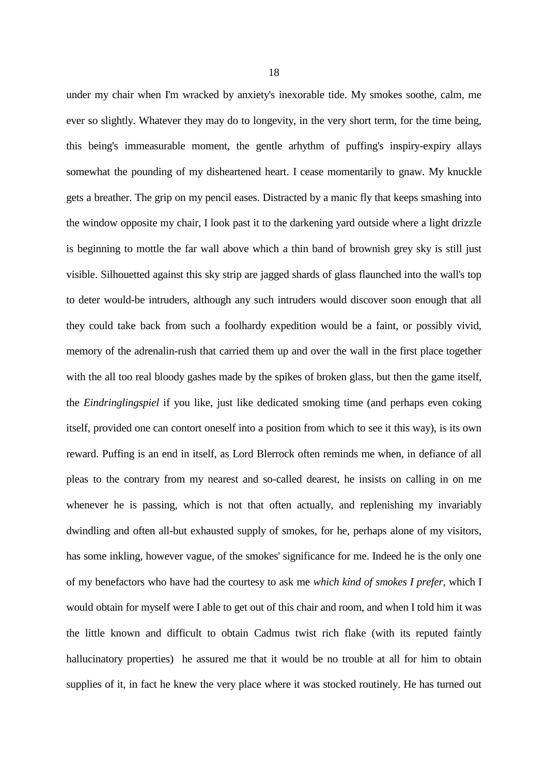under my chair when I'm wracked by anxiety's inexorable tide. My smokes soothe, calm, me ever so slightly. Whatever they may do to longevity, in the very short term, for the time being, this being's immeasurable moment, the gentle arhythm of puffing's inspiry-expiry allays somewhat the pounding of my disheartened heart. I cease momentarily to gnaw. My knuckle gets a breather. The grip on my pencil eases. Distracted by a manic fly that keeps smashing into the window opposite my chair, I look past it to the darkening yard outside where a light drizzle is beginning to mottle the far wall above which a thin band of brownish grey sky is still just visible. Silhouetted against this sky strip are jagged shards of glass flaunched into the wall's top to deter would-be intruders, although any such intruders would discover soon enough that all they could take back from such a foolhardy expedition would be a faint, or possibly vivid, memory of the adrenalin-rush that carried them up and over the wall in the first place together with the all too real bloody gashes made by the spikes of broken glass, but then the game itself, the *Eindringlingspiel* if you like, just like dedicated smoking time (and perhaps even coking itself, provided one can contort oneself into a position from which to see it this way), is its own reward. Puffing is an end in itself, as Lord Blerrock often reminds me when, in defiance of all pleas to the contrary from my nearest and so-called dearest, he insists on calling in on me whenever he is passing, which is not that often actually, and replenishing my invariably dwindling and often all-but exhausted supply of smokes, for he, perhaps alone of my visitors, has some inkling, however vague, of the smokes' significance for me. Indeed he is the only one of my benefactors who have had the courtesy to ask me *which kind of smokes I prefer*, which I would obtain for myself were I able to get out of this chair and room, and when I told him it was the little known and difficult to obtain Cadmus twist rich flake (with its reputed faintly hallucinatory properties) he assured me that it would be no trouble at all for him to obtain supplies of it, in fact he knew the very place where it was stocked routinely. He has turned out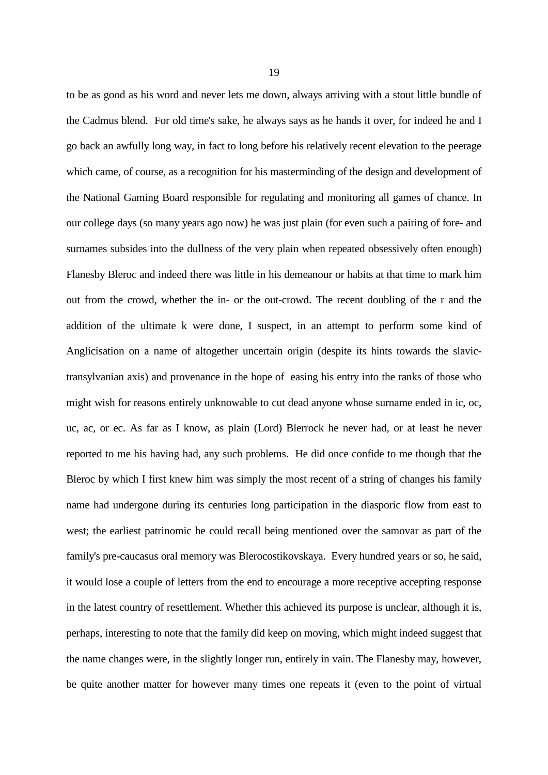to be as good as his word and never lets me down, always arriving with a stout little bundle of the Cadmus blend. For old time's sake, he always says as he hands it over, for indeed he and I go back an awfully long way, in fact to long before his relatively recent elevation to the peerage which came, of course, as a recognition for his masterminding of the design and development of the National Gaming Board responsible for regulating and monitoring all games of chance. In our college days (so many years ago now) he was just plain (for even such a pairing of fore- and surnames subsides into the dullness of the very plain when repeated obsessively often enough) Flanesby Bleroc and indeed there was little in his demeanour or habits at that time to mark him out from the crowd, whether the in- or the out-crowd. The recent doubling of the r and the addition of the ultimate k were done, I suspect, in an attempt to perform some kind of Anglicisation on a name of altogether uncertain origin (despite its hints towards the slavictransylvanian axis) and provenance in the hope of easing his entry into the ranks of those who might wish for reasons entirely unknowable to cut dead anyone whose surname ended in ic, oc, uc, ac, or ec. As far as I know, as plain (Lord) Blerrock he never had, or at least he never reported to me his having had, any such problems. He did once confide to me though that the Bleroc by which I first knew him was simply the most recent of a string of changes his family name had undergone during its centuries long participation in the diasporic flow from east to west; the earliest patrinomic he could recall being mentioned over the samovar as part of the family's pre-caucasus oral memory was Blerocostikovskaya. Every hundred years or so, he said, it would lose a couple of letters from the end to encourage a more receptive accepting response in the latest country of resettlement. Whether this achieved its purpose is unclear, although it is, perhaps, interesting to note that the family did keep on moving, which might indeed suggest that the name changes were, in the slightly longer run, entirely in vain. The Flanesby may, however, be quite another matter for however many times one repeats it (even to the point of virtual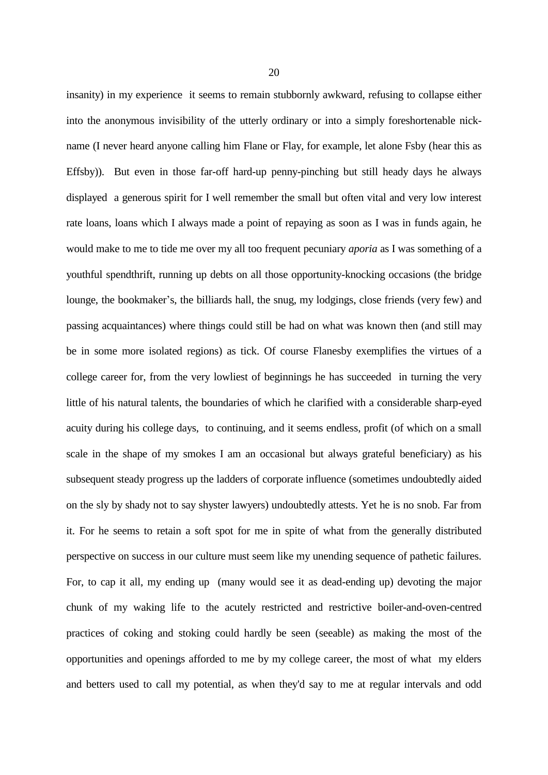insanity) in my experience it seems to remain stubbornly awkward, refusing to collapse either into the anonymous invisibility of the utterly ordinary or into a simply foreshortenable nickname (I never heard anyone calling him Flane or Flay, for example, let alone Fsby (hear this as Effsby)). But even in those far-off hard-up penny-pinching but still heady days he always displayed a generous spirit for I well remember the small but often vital and very low interest rate loans, loans which I always made a point of repaying as soon as I was in funds again, he would make to me to tide me over my all too frequent pecuniary *aporia* as I was something of a youthful spendthrift, running up debts on all those opportunity-knocking occasions (the bridge lounge, the bookmaker's, the billiards hall, the snug, my lodgings, close friends (very few) and passing acquaintances) where things could still be had on what was known then (and still may be in some more isolated regions) as tick. Of course Flanesby exemplifies the virtues of a college career for, from the very lowliest of beginnings he has succeeded in turning the very little of his natural talents, the boundaries of which he clarified with a considerable sharp-eyed acuity during his college days, to continuing, and it seems endless, profit (of which on a small scale in the shape of my smokes I am an occasional but always grateful beneficiary) as his subsequent steady progress up the ladders of corporate influence (sometimes undoubtedly aided on the sly by shady not to say shyster lawyers) undoubtedly attests. Yet he is no snob. Far from it. For he seems to retain a soft spot for me in spite of what from the generally distributed perspective on success in our culture must seem like my unending sequence of pathetic failures. For, to cap it all, my ending up (many would see it as dead-ending up) devoting the major chunk of my waking life to the acutely restricted and restrictive boiler-and-oven-centred practices of coking and stoking could hardly be seen (seeable) as making the most of the opportunities and openings afforded to me by my college career, the most of what my elders and betters used to call my potential, as when they'd say to me at regular intervals and odd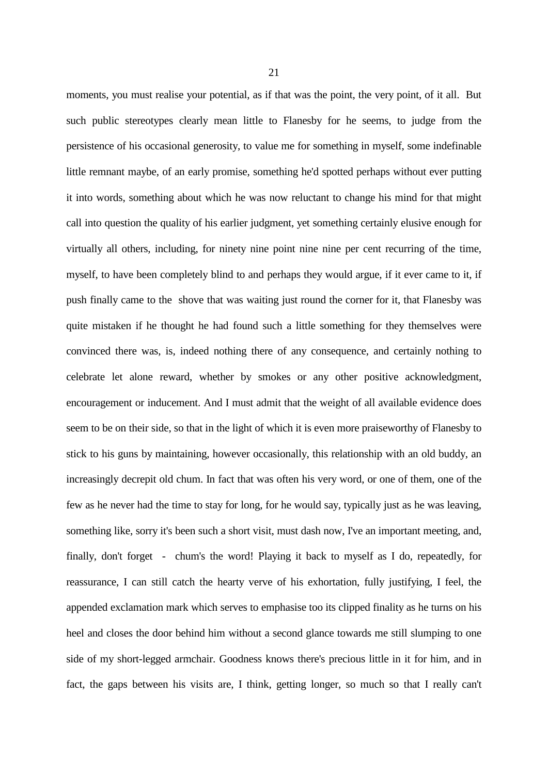moments, you must realise your potential, as if that was the point, the very point, of it all. But such public stereotypes clearly mean little to Flanesby for he seems, to judge from the persistence of his occasional generosity, to value me for something in myself, some indefinable little remnant maybe, of an early promise, something he'd spotted perhaps without ever putting it into words, something about which he was now reluctant to change his mind for that might call into question the quality of his earlier judgment, yet something certainly elusive enough for virtually all others, including, for ninety nine point nine nine per cent recurring of the time, myself, to have been completely blind to and perhaps they would argue, if it ever came to it, if push finally came to the shove that was waiting just round the corner for it, that Flanesby was quite mistaken if he thought he had found such a little something for they themselves were convinced there was, is, indeed nothing there of any consequence, and certainly nothing to celebrate let alone reward, whether by smokes or any other positive acknowledgment, encouragement or inducement. And I must admit that the weight of all available evidence does seem to be on their side, so that in the light of which it is even more praiseworthy of Flanesby to stick to his guns by maintaining, however occasionally, this relationship with an old buddy, an increasingly decrepit old chum. In fact that was often his very word, or one of them, one of the few as he never had the time to stay for long, for he would say, typically just as he was leaving, something like, sorry it's been such a short visit, must dash now, I've an important meeting, and, finally, don't forget - chum's the word! Playing it back to myself as I do, repeatedly, for reassurance, I can still catch the hearty verve of his exhortation, fully justifying, I feel, the appended exclamation mark which serves to emphasise too its clipped finality as he turns on his heel and closes the door behind him without a second glance towards me still slumping to one side of my short-legged armchair. Goodness knows there's precious little in it for him, and in fact, the gaps between his visits are, I think, getting longer, so much so that I really can't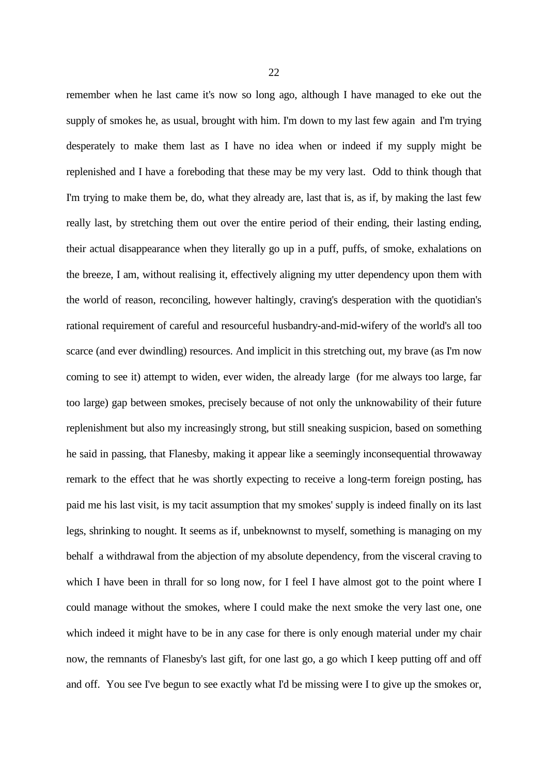remember when he last came it's now so long ago, although I have managed to eke out the supply of smokes he, as usual, brought with him. I'm down to my last few again and I'm trying desperately to make them last as I have no idea when or indeed if my supply might be replenished and I have a foreboding that these may be my very last. Odd to think though that I'm trying to make them be, do, what they already are, last that is, as if, by making the last few really last, by stretching them out over the entire period of their ending, their lasting ending, their actual disappearance when they literally go up in a puff, puffs, of smoke, exhalations on the breeze, I am, without realising it, effectively aligning my utter dependency upon them with the world of reason, reconciling, however haltingly, craving's desperation with the quotidian's rational requirement of careful and resourceful husbandry-and-mid-wifery of the world's all too scarce (and ever dwindling) resources. And implicit in this stretching out, my brave (as I'm now coming to see it) attempt to widen, ever widen, the already large (for me always too large, far too large) gap between smokes, precisely because of not only the unknowability of their future replenishment but also my increasingly strong, but still sneaking suspicion, based on something he said in passing, that Flanesby, making it appear like a seemingly inconsequential throwaway remark to the effect that he was shortly expecting to receive a long-term foreign posting, has paid me his last visit, is my tacit assumption that my smokes' supply is indeed finally on its last legs, shrinking to nought. It seems as if, unbeknownst to myself, something is managing on my behalf a withdrawal from the abjection of my absolute dependency, from the visceral craving to which I have been in thrall for so long now, for I feel I have almost got to the point where I could manage without the smokes, where I could make the next smoke the very last one, one which indeed it might have to be in any case for there is only enough material under my chair now, the remnants of Flanesby's last gift, for one last go, a go which I keep putting off and off and off. You see I've begun to see exactly what I'd be missing were I to give up the smokes or,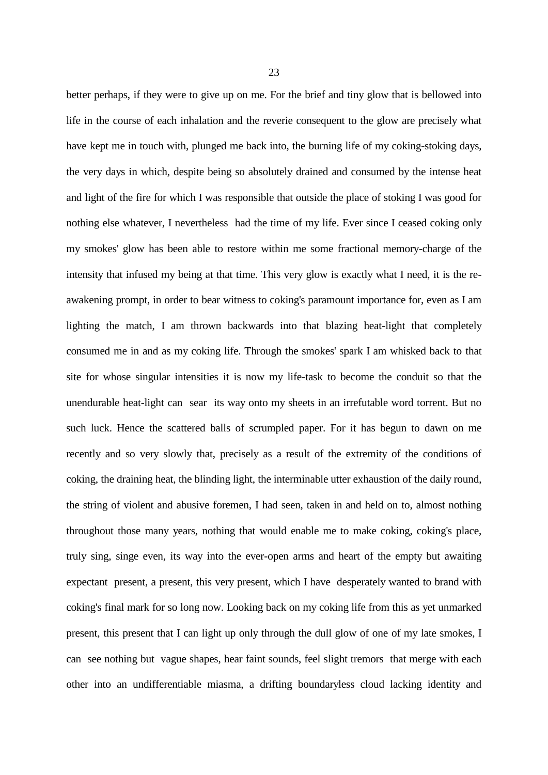better perhaps, if they were to give up on me. For the brief and tiny glow that is bellowed into life in the course of each inhalation and the reverie consequent to the glow are precisely what have kept me in touch with, plunged me back into, the burning life of my coking-stoking days, the very days in which, despite being so absolutely drained and consumed by the intense heat and light of the fire for which I was responsible that outside the place of stoking I was good for nothing else whatever, I nevertheless had the time of my life. Ever since I ceased coking only my smokes' glow has been able to restore within me some fractional memory-charge of the intensity that infused my being at that time. This very glow is exactly what I need, it is the reawakening prompt, in order to bear witness to coking's paramount importance for, even as I am lighting the match, I am thrown backwards into that blazing heat-light that completely consumed me in and as my coking life. Through the smokes' spark I am whisked back to that site for whose singular intensities it is now my life-task to become the conduit so that the unendurable heat-light can sear its way onto my sheets in an irrefutable word torrent. But no such luck. Hence the scattered balls of scrumpled paper. For it has begun to dawn on me recently and so very slowly that, precisely as a result of the extremity of the conditions of coking, the draining heat, the blinding light, the interminable utter exhaustion of the daily round, the string of violent and abusive foremen, I had seen, taken in and held on to, almost nothing throughout those many years, nothing that would enable me to make coking, coking's place, truly sing, singe even, its way into the ever-open arms and heart of the empty but awaiting expectant present, a present, this very present, which I have desperately wanted to brand with coking's final mark for so long now. Looking back on my coking life from this as yet unmarked present, this present that I can light up only through the dull glow of one of my late smokes, I can see nothing but vague shapes, hear faint sounds, feel slight tremors that merge with each other into an undifferentiable miasma, a drifting boundaryless cloud lacking identity and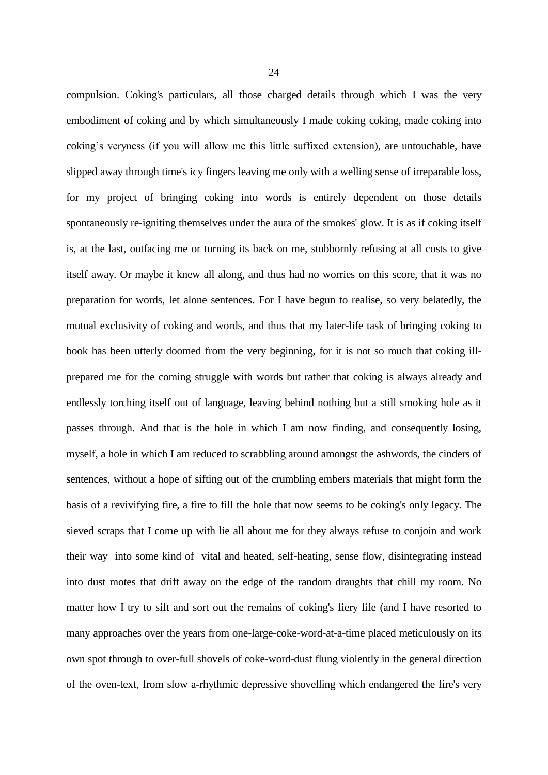compulsion. Coking's particulars, all those charged details through which I was the very embodiment of coking and by which simultaneously I made coking coking, made coking into coking's veryness (if you will allow me this little suffixed extension), are untouchable, have slipped away through time's icy fingers leaving me only with a welling sense of irreparable loss, for my project of bringing coking into words is entirely dependent on those details spontaneously re-igniting themselves under the aura of the smokes' glow. It is as if coking itself is, at the last, outfacing me or turning its back on me, stubbornly refusing at all costs to give itself away. Or maybe it knew all along, and thus had no worries on this score, that it was no preparation for words, let alone sentences. For I have begun to realise, so very belatedly, the mutual exclusivity of coking and words, and thus that my later-life task of bringing coking to book has been utterly doomed from the very beginning, for it is not so much that coking illprepared me for the coming struggle with words but rather that coking is always already and endlessly torching itself out of language, leaving behind nothing but a still smoking hole as it passes through. And that is the hole in which I am now finding, and consequently losing, myself, a hole in which I am reduced to scrabbling around amongst the ashwords, the cinders of sentences, without a hope of sifting out of the crumbling embers materials that might form the basis of a revivifying fire, a fire to fill the hole that now seems to be coking's only legacy. The sieved scraps that I come up with lie all about me for they always refuse to conjoin and work their way into some kind of vital and heated, self-heating, sense flow, disintegrating instead into dust motes that drift away on the edge of the random draughts that chill my room. No matter how I try to sift and sort out the remains of coking's fiery life (and I have resorted to many approaches over the years from one-large-coke-word-at-a-time placed meticulously on its own spot through to over-full shovels of coke-word-dust flung violently in the general direction of the oven-text, from slow a-rhythmic depressive shovelling which endangered the fire's very